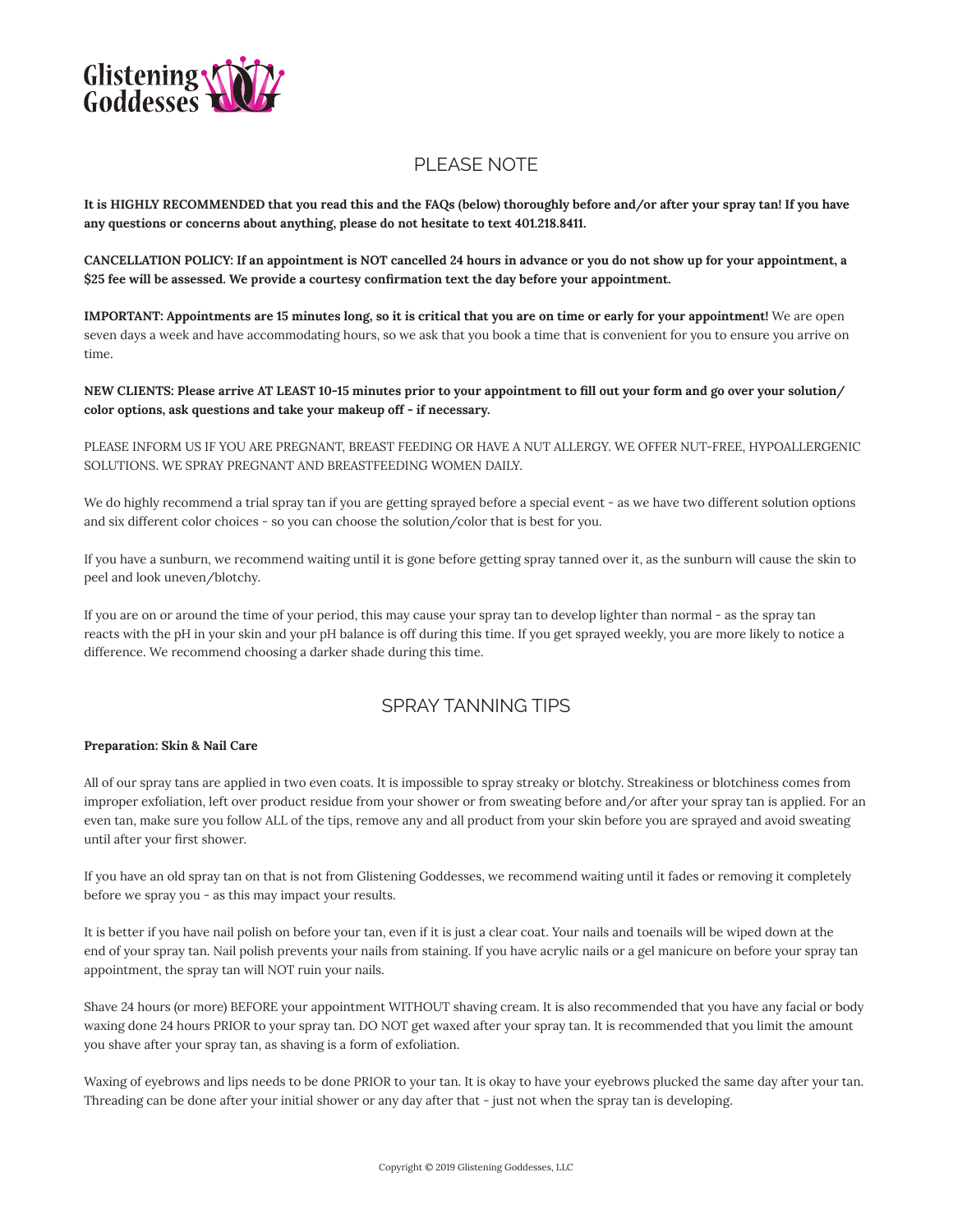

# PI FASE NOTE

**It is HIGHLY RECOMMENDED that you read this and the FAQs (below) thoroughly before and/or after your spray tan! If you have any questions or concerns about anything, please do not hesitate to text 401.218.8411.**

**CANCELLATION POLICY: If an appointment is NOT cancelled 24 hours in advance or you do not show up for your appointment, a \$25 fee will be assessed. We provide a courtesy confirmation text the day before your appointment.**

**IMPORTANT: Appointments are 15 minutes long, so it is critical that you are on time or early for your appointment!** We are open seven days a week and have accommodating hours, so we ask that you book a time that is convenient for you to ensure you arrive on time.

**NEW CLIENTS: Please arrive AT LEAST 10-15 minutes prior to your appointment to fill out your form and go over your solution/ color options, ask questions and take your makeup off - if necessary.**

PLEASE INFORM US IF YOU ARE PREGNANT, BREAST FEEDING OR HAVE A NUT ALLERGY. WE OFFER NUT-FREE, HYPOALLERGENIC SOLUTIONS. WE SPRAY PREGNANT AND BREASTFEEDING WOMEN DAILY.

We do highly recommend a trial spray tan if you are getting sprayed before a special event - as we have two different solution options and six different color choices - so you can choose the solution/color that is best for you.

If you have a sunburn, we recommend waiting until it is gone before getting spray tanned over it, as the sunburn will cause the skin to peel and look uneven/blotchy.

If you are on or around the time of your period, this may cause your spray tan to develop lighter than normal - as the spray tan reacts with the pH in your skin and your pH balance is off during this time. If you get sprayed weekly, you are more likely to notice a difference. We recommend choosing a darker shade during this time.

# SPRAY TANNING TIPS

#### **Preparation: Skin & Nail Care**

All of our spray tans are applied in two even coats. It is impossible to spray streaky or blotchy. Streakiness or blotchiness comes from improper exfoliation, left over product residue from your shower or from sweating before and/or after your spray tan is applied. For an even tan, make sure you follow ALL of the tips, remove any and all product from your skin before you are sprayed and avoid sweating until after your first shower.

If you have an old spray tan on that is not from Glistening Goddesses, we recommend waiting until it fades or removing it completely before we spray you - as this may impact your results.

It is better if you have nail polish on before your tan, even if it is just a clear coat. Your nails and toenails will be wiped down at the end of your spray tan. Nail polish prevents your nails from staining. If you have acrylic nails or a gel manicure on before your spray tan appointment, the spray tan will NOT ruin your nails.

Shave 24 hours (or more) BEFORE your appointment WITHOUT shaving cream. It is also recommended that you have any facial or body waxing done 24 hours PRIOR to your spray tan. DO NOT get waxed after your spray tan. It is recommended that you limit the amount you shave after your spray tan, as shaving is a form of exfoliation.

Waxing of eyebrows and lips needs to be done PRIOR to your tan. It is okay to have your eyebrows plucked the same day after your tan. Threading can be done after your initial shower or any day after that - just not when the spray tan is developing.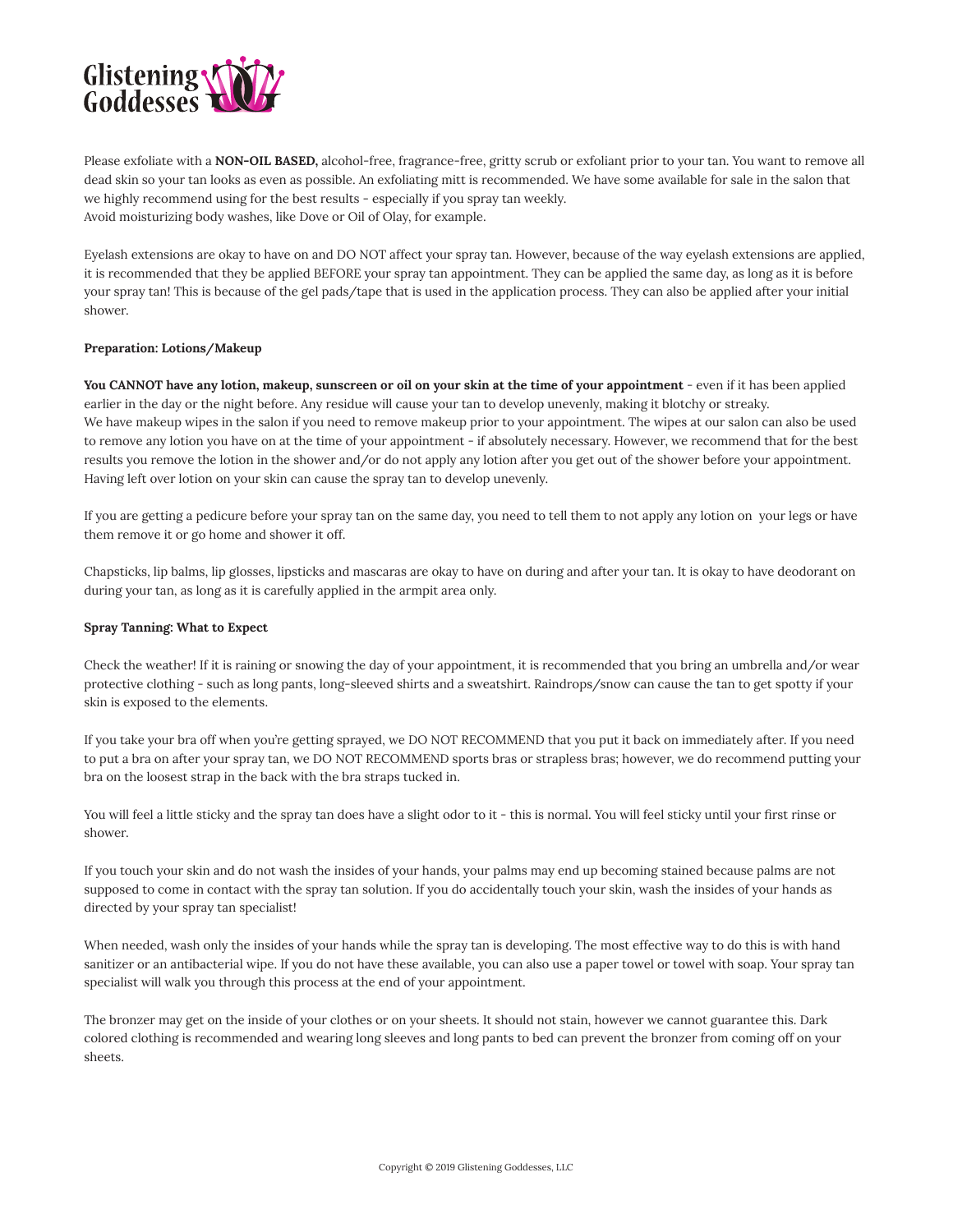

Please exfoliate with a **NON-OIL BASED,** alcohol-free, fragrance-free, gritty scrub or exfoliant prior to your tan. You want to remove all dead skin so your tan looks as even as possible. An exfoliating mitt is recommended. We have some available for sale in the salon that we highly recommend using for the best results - especially if you spray tan weekly. Avoid moisturizing body washes, like Dove or Oil of Olay, for example.

Eyelash extensions are okay to have on and DO NOT affect your spray tan. However, because of the way eyelash extensions are applied, it is recommended that they be applied BEFORE your spray tan appointment. They can be applied the same day, as long as it is before your spray tan! This is because of the gel pads/tape that is used in the application process. They can also be applied after your initial shower.

# **Preparation: Lotions/Makeup**

**You CANNOT have any lotion, makeup, sunscreen or oil on your skin at the time of your appointment** - even if it has been applied earlier in the day or the night before. Any residue will cause your tan to develop unevenly, making it blotchy or streaky. We have makeup wipes in the salon if you need to remove makeup prior to your appointment. The wipes at our salon can also be used to remove any lotion you have on at the time of your appointment - if absolutely necessary. However, we recommend that for the best results you remove the lotion in the shower and/or do not apply any lotion after you get out of the shower before your appointment. Having left over lotion on your skin can cause the spray tan to develop unevenly.

If you are getting a pedicure before your spray tan on the same day, you need to tell them to not apply any lotion on your legs or have them remove it or go home and shower it off.

Chapsticks, lip balms, lip glosses, lipsticks and mascaras are okay to have on during and after your tan. It is okay to have deodorant on during your tan, as long as it is carefully applied in the armpit area only.

#### **Spray Tanning: What to Expect**

Check the weather! If it is raining or snowing the day of your appointment, it is recommended that you bring an umbrella and/or wear protective clothing - such as long pants, long-sleeved shirts and a sweatshirt. Raindrops/snow can cause the tan to get spotty if your skin is exposed to the elements.

If you take your bra off when you're getting sprayed, we DO NOT RECOMMEND that you put it back on immediately after. If you need to put a bra on after your spray tan, we DO NOT RECOMMEND sports bras or strapless bras; however, we do recommend putting your bra on the loosest strap in the back with the bra straps tucked in.

You will feel a little sticky and the spray tan does have a slight odor to it - this is normal. You will feel sticky until your first rinse or shower.

If you touch your skin and do not wash the insides of your hands, your palms may end up becoming stained because palms are not supposed to come in contact with the spray tan solution. If you do accidentally touch your skin, wash the insides of your hands as directed by your spray tan specialist!

When needed, wash only the insides of your hands while the spray tan is developing. The most effective way to do this is with hand sanitizer or an antibacterial wipe. If you do not have these available, you can also use a paper towel or towel with soap. Your spray tan specialist will walk you through this process at the end of your appointment.

The bronzer may get on the inside of your clothes or on your sheets. It should not stain, however we cannot guarantee this. Dark colored clothing is recommended and wearing long sleeves and long pants to bed can prevent the bronzer from coming off on your sheets.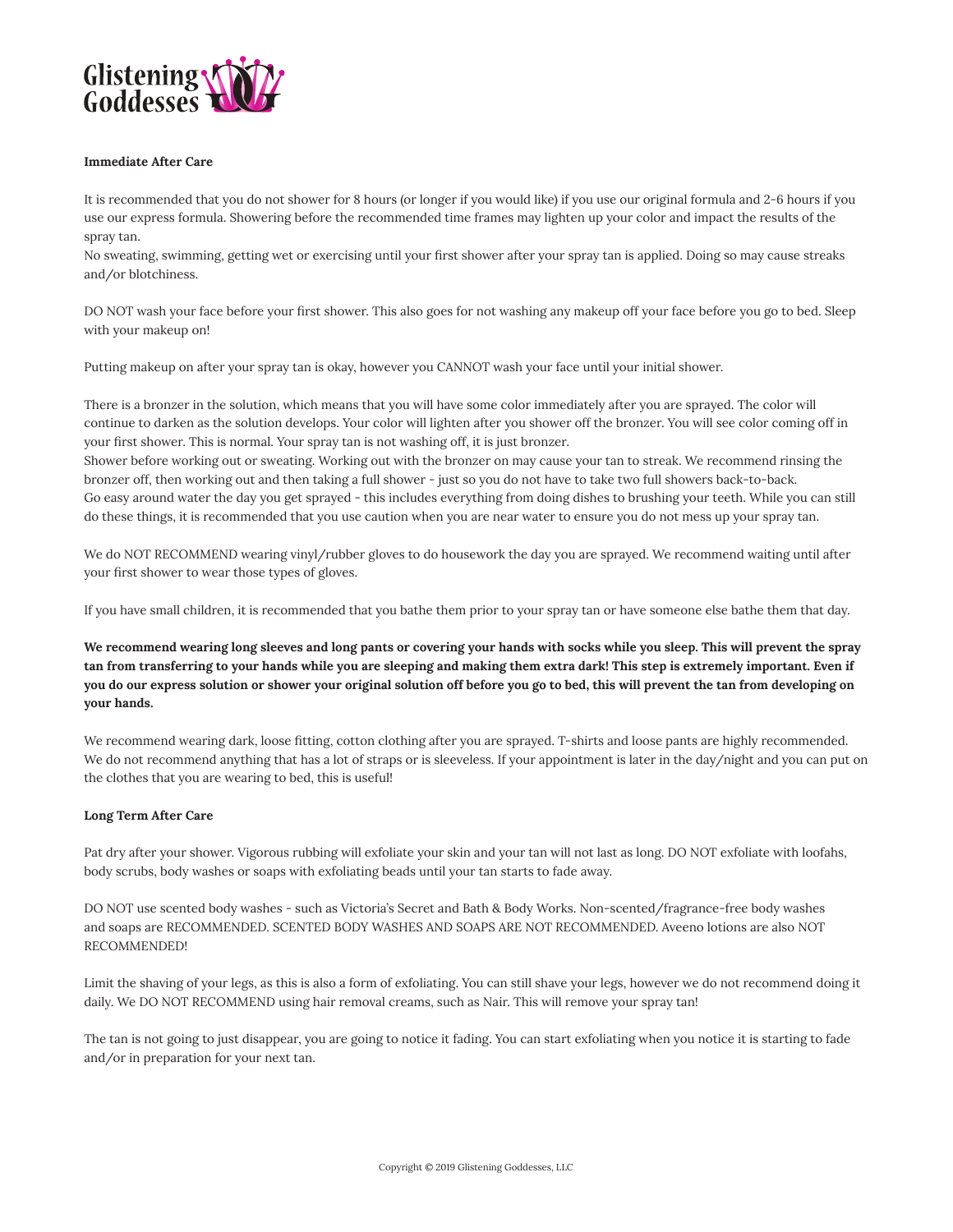

#### **Immediate After Care**

It is recommended that you do not shower for 8 hours (or longer if you would like) if you use our original formula and 2-6 hours if you use our express formula. Showering before the recommended time frames may lighten up your color and impact the results of the spray tan.

No sweating, swimming, getting wet or exercising until your first shower after your spray tan is applied. Doing so may cause streaks and/or blotchiness.

DO NOT wash your face before your first shower. This also goes for not washing any makeup off your face before you go to bed. Sleep with your makeup on!

Putting makeup on after your spray tan is okay, however you CANNOT wash your face until your initial shower.

There is a bronzer in the solution, which means that you will have some color immediately after you are sprayed. The color will continue to darken as the solution develops. Your color will lighten after you shower off the bronzer. You will see color coming off in your first shower. This is normal. Your spray tan is not washing off, it is just bronzer.

Shower before working out or sweating. Working out with the bronzer on may cause your tan to streak. We recommend rinsing the bronzer off, then working out and then taking a full shower - just so you do not have to take two full showers back-to-back. Go easy around water the day you get sprayed - this includes everything from doing dishes to brushing your teeth. While you can still do these things, it is recommended that you use caution when you are near water to ensure you do not mess up your spray tan.

We do NOT RECOMMEND wearing vinyl/rubber gloves to do housework the day you are sprayed. We recommend waiting until after your first shower to wear those types of gloves.

If you have small children, it is recommended that you bathe them prior to your spray tan or have someone else bathe them that day.

**We recommend wearing long sleeves and long pants or covering your hands with socks while you sleep. This will prevent the spray tan from transferring to your hands while you are sleeping and making them extra dark! This step is extremely important. Even if you do our express solution or shower your original solution off before you go to bed, this will prevent the tan from developing on your hands.**

We recommend wearing dark, loose fitting, cotton clothing after you are sprayed. T-shirts and loose pants are highly recommended. We do not recommend anything that has a lot of straps or is sleeveless. If your appointment is later in the day/night and you can put on the clothes that you are wearing to bed, this is useful!

#### **Long Term After Care**

Pat dry after your shower. Vigorous rubbing will exfoliate your skin and your tan will not last as long. DO NOT exfoliate with loofahs, body scrubs, body washes or soaps with exfoliating beads until your tan starts to fade away.

DO NOT use scented body washes - such as Victoria's Secret and Bath & Body Works. Non-scented/fragrance-free body washes and soaps are RECOMMENDED. SCENTED BODY WASHES AND SOAPS ARE NOT RECOMMENDED. Aveeno lotions are also NOT RECOMMENDED!

Limit the shaving of your legs, as this is also a form of exfoliating. You can still shave your legs, however we do not recommend doing it daily. We DO NOT RECOMMEND using hair removal creams, such as Nair. This will remove your spray tan!

The tan is not going to just disappear, you are going to notice it fading. You can start exfoliating when you notice it is starting to fade and/or in preparation for your next tan.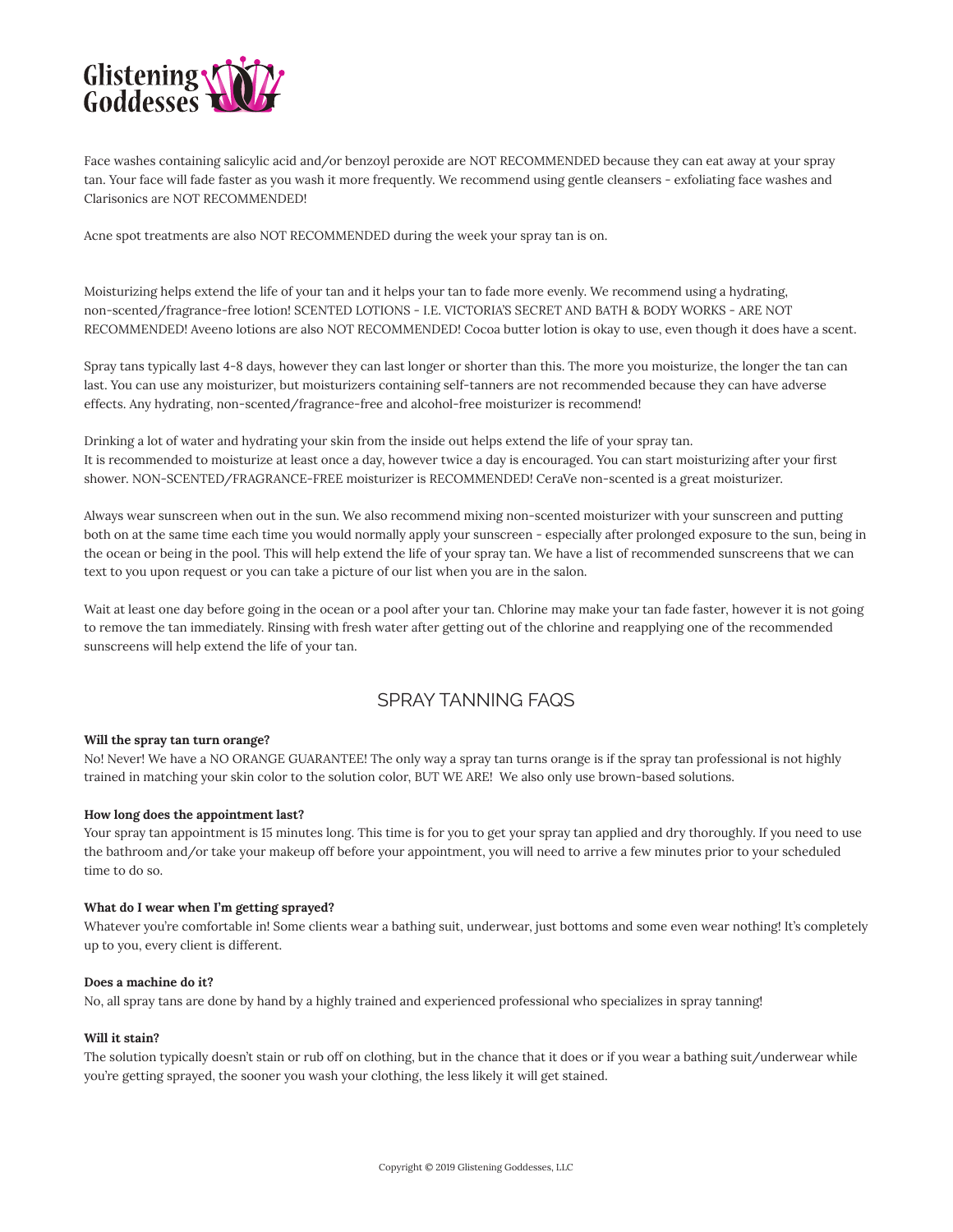

Face washes containing salicylic acid and/or benzoyl peroxide are NOT RECOMMENDED because they can eat away at your spray tan. Your face will fade faster as you wash it more frequently. We recommend using gentle cleansers - exfoliating face washes and Clarisonics are NOT RECOMMENDED!

Acne spot treatments are also NOT RECOMMENDED during the week your spray tan is on.

Moisturizing helps extend the life of your tan and it helps your tan to fade more evenly. We recommend using a hydrating, non-scented/fragrance-free lotion! SCENTED LOTIONS - I.E. VICTORIA'S SECRET AND BATH & BODY WORKS - ARE NOT RECOMMENDED! Aveeno lotions are also NOT RECOMMENDED! Cocoa butter lotion is okay to use, even though it does have a scent.

Spray tans typically last 4-8 days, however they can last longer or shorter than this. The more you moisturize, the longer the tan can last. You can use any moisturizer, but moisturizers containing self-tanners are not recommended because they can have adverse effects. Any hydrating, non-scented/fragrance-free and alcohol-free moisturizer is recommend!

Drinking a lot of water and hydrating your skin from the inside out helps extend the life of your spray tan. It is recommended to moisturize at least once a day, however twice a day is encouraged. You can start moisturizing after your first shower. NON-SCENTED/FRAGRANCE-FREE moisturizer is RECOMMENDED! CeraVe non-scented is a great moisturizer.

Always wear sunscreen when out in the sun. We also recommend mixing non-scented moisturizer with your sunscreen and putting both on at the same time each time you would normally apply your sunscreen - especially after prolonged exposure to the sun, being in the ocean or being in the pool. This will help extend the life of your spray tan. We have a list of recommended sunscreens that we can text to you upon request or you can take a picture of our list when you are in the salon.

Wait at least one day before going in the ocean or a pool after your tan. Chlorine may make your tan fade faster, however it is not going to remove the tan immediately. Rinsing with fresh water after getting out of the chlorine and reapplying one of the recommended sunscreens will help extend the life of your tan.

# SPRAY TANNING FAQS

# **Will the spray tan turn orange?**

No! Never! We have a NO ORANGE GUARANTEE! The only way a spray tan turns orange is if the spray tan professional is not highly trained in matching your skin color to the solution color, BUT WE ARE! We also only use brown-based solutions.

#### **How long does the appointment last?**

Your spray tan appointment is 15 minutes long. This time is for you to get your spray tan applied and dry thoroughly. If you need to use the bathroom and/or take your makeup off before your appointment, you will need to arrive a few minutes prior to your scheduled time to do so.

## **What do I wear when I'm getting sprayed?**

Whatever you're comfortable in! Some clients wear a bathing suit, underwear, just bottoms and some even wear nothing! It's completely up to you, every client is different.

### **Does a machine do it?**

No, all spray tans are done by hand by a highly trained and experienced professional who specializes in spray tanning!

#### **Will it stain?**

The solution typically doesn't stain or rub off on clothing, but in the chance that it does or if you wear a bathing suit/underwear while you're getting sprayed, the sooner you wash your clothing, the less likely it will get stained.